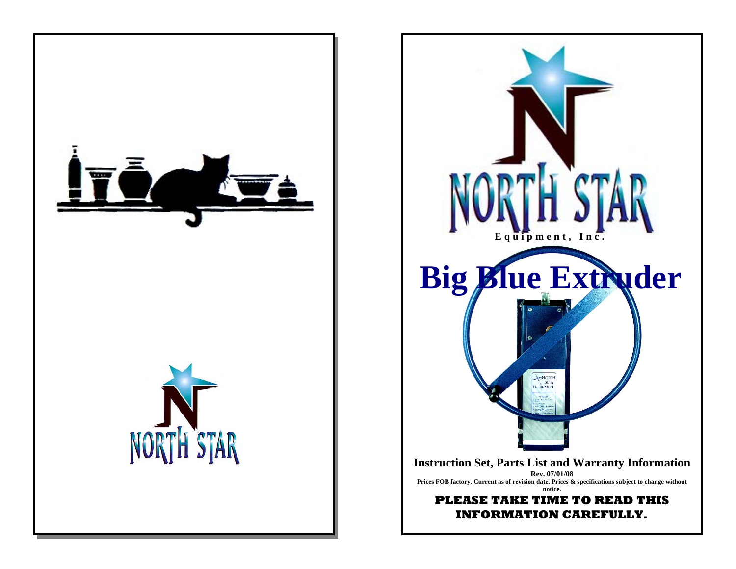

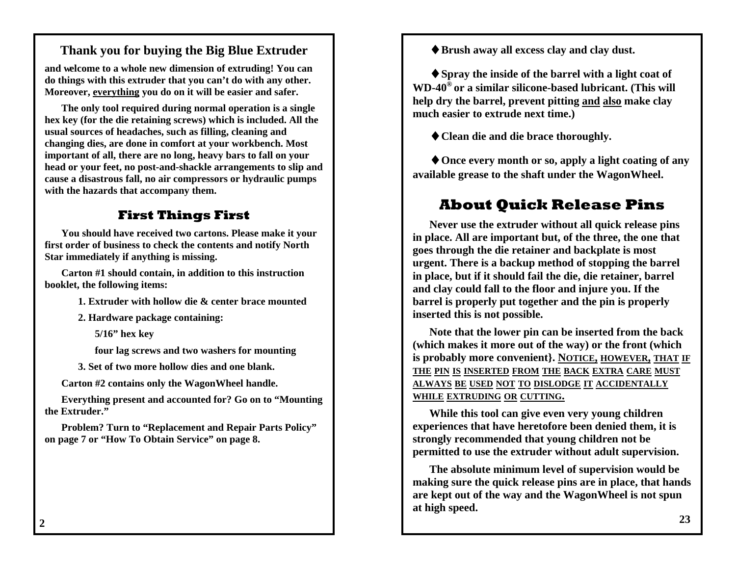### **Thank you for buying the Big Blue Extruder**

**and welcome to a whole new dimension of extruding! You can do things with this extruder that you can't do with any other. Moreover, everything you do on it will be easier and safer.** 

**The only tool required during normal operation is a single hex key (for the die retaining screws) which is included. All the usual sources of headaches, such as filling, cleaning and changing dies, are done in comfort at your workbench. Most important of all, there are no long, heavy bars to fall on your head or your feet, no post-and-shackle arrangements to slip and cause a disastrous fall, no air compressors or hydraulic pumps with the hazards that accompany them.** 

### **First Things First**

**You should have received two cartons. Please make it your first order of business to check the contents and notify North Star immediately if anything is missing.** 

**Carton #1 should contain, in addition to this instruction booklet, the following items:** 

 **1. Extruder with hollow die & center brace mounted** 

 **2. Hardware package containing:** 

 **5/16" hex key** 

 **four lag screws and two washers for mounting** 

 **3. Set of two more hollow dies and one blank.** 

**Carton #2 contains only the WagonWheel handle.** 

**Everything present and accounted for? Go on to "Mounting the Extruder."** 

**Problem? Turn to "Replacement and Repair Parts Policy" on page 7 or "How To Obtain Service" on page 8.** 

♦**Brush away all excess clay and clay dust.** 

♦**Spray the inside of the barrel with a light coat of WD-40® or a similar silicone-based lubricant. (This will help dry the barrel, prevent pitting and also make clay much easier to extrude next time.)** 

♦**Clean die and die brace thoroughly.** 

♦**Once every month or so, apply a light coating of any available grease to the shaft under the WagonWheel.** 

### **About Quick Release Pins**

**Never use the extruder without all quick release pins in place. All are important but, of the three, the one that goes through the die retainer and backplate is most urgent. There is a backup method of stopping the barrel in place, but if it should fail the die, die retainer, barrel and clay could fall to the floor and injure you. If the barrel is properly put together and the pin is properly inserted this is not possible.** 

**Note that the lower pin can be inserted from the back (which makes it more out of the way) or the front (which is probably more convenient}. NOTICE, HOWEVER, THAT IF THE PIN IS INSERTED FROM THE BACK EXTRA CARE MUST ALWAYS BE USED NOT TO DISLODGE IT ACCIDENTALLY WHILE EXTRUDING OR CUTTING.**

**While this tool can give even very young children experiences that have heretofore been denied them, it is strongly recommended that young children not be permitted to use the extruder without adult supervision.** 

**The absolute minimum level of supervision would be making sure the quick release pins are in place, that hands are kept out of the way and the WagonWheel is not spun at high speed.** 

**2**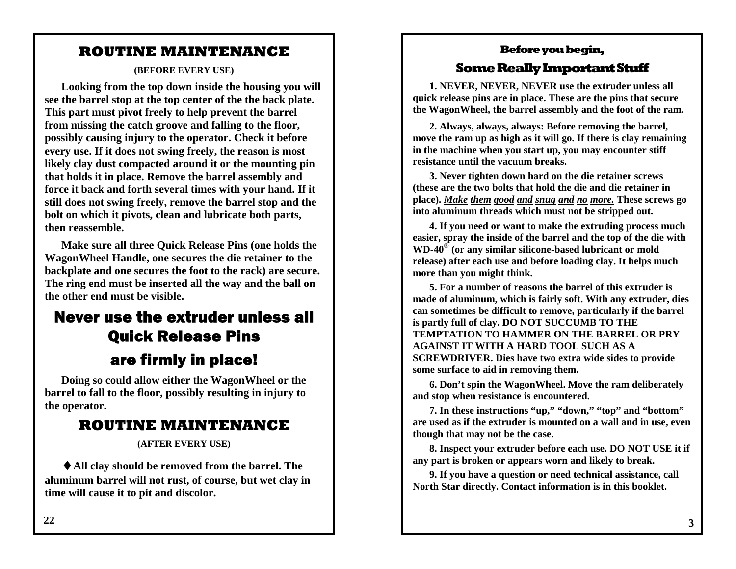### **ROUTINE MAINTENANCE**

**(BEFORE EVERY USE)** 

**Looking from the top down inside the housing you will see the barrel stop at the top center of the the back plate. This part must pivot freely to help prevent the barrel from missing the catch groove and falling to the floor, possibly causing injury to the operator. Check it before every use. If it does not swing freely, the reason is most likely clay dust compacted around it or the mounting pin that holds it in place. Remove the barrel assembly and force it back and forth several times with your hand. If it still does not swing freely, remove the barrel stop and the bolt on which it pivots, clean and lubricate both parts, then reassemble.** 

**Make sure all three Quick Release Pins (one holds the WagonWheel Handle, one secures the die retainer to the backplate and one secures the foot to the rack) are secure. The ring end must be inserted all the way and the ball on the other end must be visible.** 

### Never use the extruder unless all Quick Release Pins are firmly in place!

**Doing so could allow either the WagonWheel or the barrel to fall to the floor, possibly resulting in injury to the operator.** 

### **ROUTINE MAINTENANCE**

**(AFTER EVERY USE)** 

♦**All clay should be removed from the barrel. The aluminum barrel will not rust, of course, but wet clay in time will cause it to pit and discolor.** 

### **Before you begin,**

### **Some Really Important Stuff**

**1. NEVER, NEVER, NEVER use the extruder unless all quick release pins are in place. These are the pins that secure the WagonWheel, the barrel assembly and the foot of the ram.** 

**2. Always, always, always: Before removing the barrel, move the ram up as high as it will go. If there is clay remaining in the machine when you start up, you may encounter stiff resistance until the vacuum breaks.** 

**3. Never tighten down hard on the die retainer screws (these are the two bolts that hold the die and die retainer in place).** *Make them good and snug and no more.* **These screws go into aluminum threads which must not be stripped out.** 

**4. If you need or want to make the extruding process much easier, spray the inside of the barrel and the top of the die with WD-40® (or any similar silicone-based lubricant or mold release) after each use and before loading clay. It helps much more than you might think.** 

**5. For a number of reasons the barrel of this extruder is made of aluminum, which is fairly soft. With any extruder, dies can sometimes be difficult to remove, particularly if the barrel is partly full of clay. DO NOT SUCCUMB TO THE TEMPTATION TO HAMMER ON THE BARREL OR PRY AGAINST IT WITH A HARD TOOL SUCH AS A SCREWDRIVER. Dies have two extra wide sides to provide some surface to aid in removing them.** 

**6. Don't spin the WagonWheel. Move the ram deliberately and stop when resistance is encountered.** 

**7. In these instructions "up," "down," "top" and "bottom" are used as if the extruder is mounted on a wall and in use, even though that may not be the case.** 

**8. Inspect your extruder before each use. DO NOT USE it if any part is broken or appears worn and likely to break.** 

**9. If you have a question or need technical assistance, call North Star directly. Contact information is in this booklet.**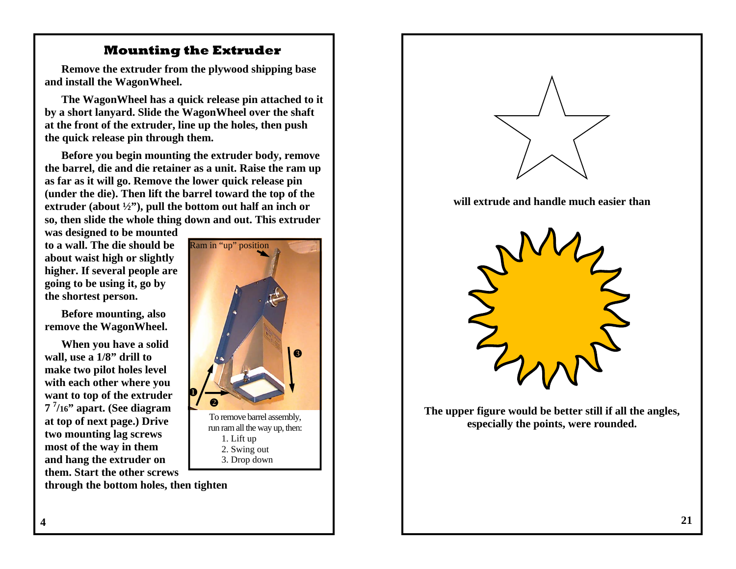### **Mounting the Extruder**

**Remove the extruder from the plywood shipping base and install the WagonWheel.** 

**The WagonWheel has a quick release pin attached to it by a short lanyard. Slide the WagonWheel over the shaft at the front of the extruder, line up the holes, then push the quick release pin through them.** 

**Before you begin mounting the extruder body, remove the barrel, die and die retainer as a unit. Raise the ram up as far as it will go. Remove the lower quick release pin (under the die). Then lift the barrel toward the top of the extruder (about ½"), pull the bottom out half an inch or so, then slide the whole thing down and out. This extruder** 

**was designed to be mounted to a wall. The die should be about waist high or slightly higher. If several people are going to be using it, go by the shortest person.** 

**Before mounting, also remove the WagonWheel.** 

**When you have a solid wall, use a 1/8" drill to make two pilot holes level with each other where you want to top of the extruder <sup>7</sup>7/16" apart. (See diagram at top of next page.) Drive two mounting lag screws most of the way in them and hang the extruder on them. Start the other screws through the bottom holes, then tighten** 



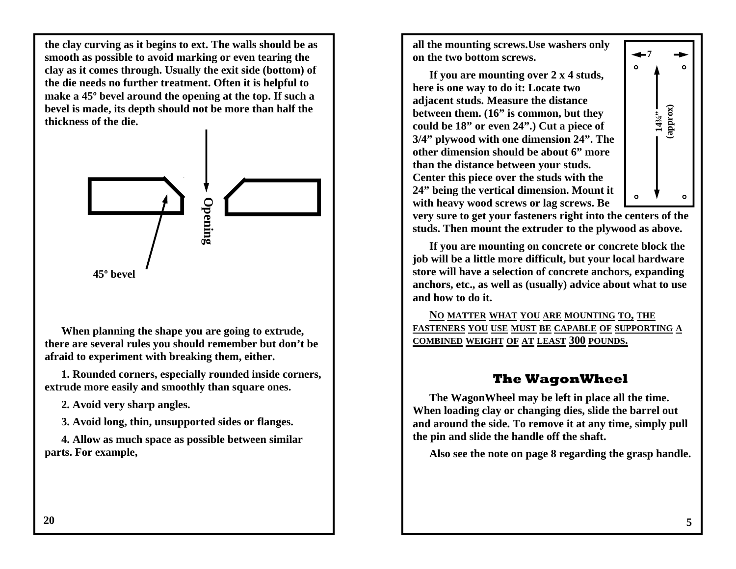**the clay curving as it begins to ext. The walls should be as smooth as possible to avoid marking or even tearing the clay as it comes through. Usually the exit side (bottom) of the die needs no further treatment. Often it is helpful to make a 45º bevel around the opening at the top. If such a bevel is made, its depth should not be more than half the thickness of the die.** 



**When planning the shape you are going to extrude, there are several rules you should remember but don't be afraid to experiment with breaking them, either.** 

**1. Rounded corners, especially rounded inside corners, extrude more easily and smoothly than square ones.** 

**2. Avoid very sharp angles.** 

**3. Avoid long, thin, unsupported sides or flanges.** 

**4. Allow as much space as possible between similar parts. For example,** 

**all the mounting screws.Use washers only on the two bottom screws.** 

**If you are mounting over 2 x 4 studs, here is one way to do it: Locate two adjacent studs. Measure the distance between them. (16" is common, but they could be 18" or even 24".) Cut a piece of 3/4" plywood with one dimension 24". The other dimension should be about 6" more than the distance between your studs. Center this piece over the studs with the 24" being the vertical dimension. Mount it with heavy wood screws or lag screws. Be** 



**very sure to get your fasteners right into the centers of the studs. Then mount the extruder to the plywood as above.** 

**If you are mounting on concrete or concrete block the job will be a little more difficult, but your local hardware store will have a selection of concrete anchors, expanding anchors, etc., as well as (usually) advice about what to use and how to do it.** 

**N O MATTER WHAT YOU ARE MOUNTING TO, THE FASTENERS YOU USE MUST BE CAPABLE OF SUPPORTING A COMBINED WEIGHT OF AT LEAST 300 POUNDS.**

### **The WagonWheel**

**The WagonWheel may be left in place all the time. When loading clay or changing dies, slide the barrel out and around the side. To remove it at any time, simply pull the pin and slide the handle off the shaft.** 

**Also see the note on page 8 regarding the grasp handle.**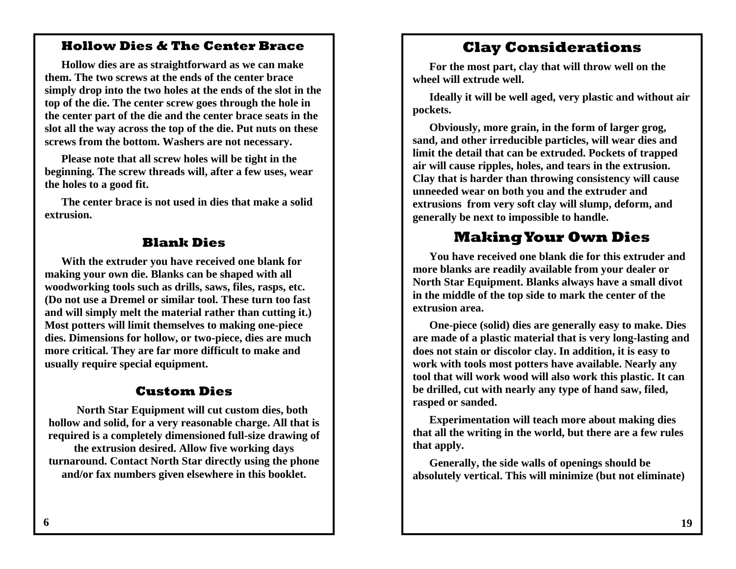### **Hollow Dies & The Center Brace**

**Hollow dies are as straightforward as we can make them. The two screws at the ends of the center brace simply drop into the two holes at the ends of the slot in the top of the die. The center screw goes through the hole in the center part of the die and the center brace seats in the slot all the way across the top of the die. Put nuts on these screws from the bottom. Washers are not necessary.** 

**Please note that all screw holes will be tight in the beginning. The screw threads will, after a few uses, wear the holes to a good fit.** 

**The center brace is not used in dies that make a solid extrusion.** 

### **Blank Dies**

**With the extruder you have received one blank for making your own die. Blanks can be shaped with all woodworking tools such as drills, saws, files, rasps, etc. (Do not use a Dremel or similar tool. These turn too fast and will simply melt the material rather than cutting it.) Most potters will limit themselves to making one-piece dies. Dimensions for hollow, or two-piece, dies are much more critical. They are far more difficult to make and usually require special equipment.** 

### **Custom Dies**

**North Star Equipment will cut custom dies, both hollow and solid, for a very reasonable charge. All that is required is a completely dimensioned full-size drawing of the extrusion desired. Allow five working days turnaround. Contact North Star directly using the phone and/or fax numbers given elsewhere in this booklet.**

### **Clay Considerations**

**For the most part, clay that will throw well on the wheel will extrude well.** 

**Ideally it will be well aged, very plastic and without air pockets.** 

**Obviously, more grain, in the form of larger grog, sand, and other irreducible particles, will wear dies and limit the detail that can be extruded. Pockets of trapped air will cause ripples, holes, and tears in the extrusion. Clay that is harder than throwing consistency will cause unneeded wear on both you and the extruder and extrusions from very soft clay will slump, deform, and generally be next to impossible to handle.** 

### **Making Your Own Dies**

**You have received one blank die for this extruder and more blanks are readily available from your dealer or North Star Equipment. Blanks always have a small divot in the middle of the top side to mark the center of the extrusion area.** 

**One-piece (solid) dies are generally easy to make. Dies are made of a plastic material that is very long-lasting and does not stain or discolor clay. In addition, it is easy to work with tools most potters have available. Nearly any tool that will work wood will also work this plastic. It can be drilled, cut with nearly any type of hand saw, filed, rasped or sanded.** 

**Experimentation will teach more about making dies that all the writing in the world, but there are a few rules that apply.** 

**Generally, the side walls of openings should be absolutely vertical. This will minimize (but not eliminate)**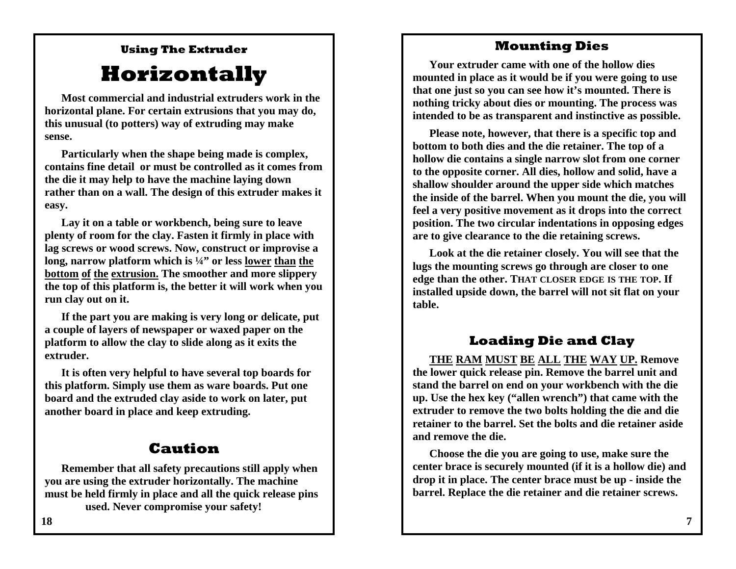### **Mounting Dies**

### **Using The Extruder**

### **Horizontally**

**Most commercial and industrial extruders work in the horizontal plane. For certain extrusions that you may do, this unusual (to potters) way of extruding may make sense.** 

**Particularly when the shape being made is complex, contains fine detail or must be controlled as it comes from the die it may help to have the machine laying down rather than on a wall. The design of this extruder makes it easy.** 

**Lay it on a table or workbench, being sure to leave plenty of room for the clay. Fasten it firmly in place with lag screws or wood screws. Now, construct or improvise a long, narrow platform which is ¼" or less lower than the bottom of the extrusion. The smoother and more slippery the top of this platform is, the better it will work when you run clay out on it.** 

**If the part you are making is very long or delicate, put a couple of layers of newspaper or waxed paper on the platform to allow the clay to slide along as it exits the extruder.** 

**It is often very helpful to have several top boards for this platform. Simply use them as ware boards. Put one board and the extruded clay aside to work on later, put another board in place and keep extruding.** 

### **Caution**

**Remember that all safety precautions still apply when you are using the extruder horizontally. The machine must be held firmly in place and all the quick release pins used. Never compromise your safety!** 

**Your extruder came with one of the hollow dies mounted in place as it would be if you were going to use that one just so you can see how it's mounted. There is nothing tricky about dies or mounting. The process was intended to be as transparent and instinctive as possible.**

**Please note, however, that there is a specific top and bottom to both dies and the die retainer. The top of a hollow die contains a single narrow slot from one corner to the opposite corner. All dies, hollow and solid, have a shallow shoulder around the upper side which matches the inside of the barrel. When you mount the die, you will feel a very positive movement as it drops into the correct position. The two circular indentations in opposing edges are to give clearance to the die retaining screws.** 

**Look at the die retainer closely. You will see that the lugs the mounting screws go through are closer to one edge than the other. THAT CLOSER EDGE IS THE TOP. If installed upside down, the barrel will not sit flat on your table.** 

### **Loading Die and Clay**

**THE RAM MUST BE ALL THE WAY UP. Remove the lower quick release pin. Remove the barrel unit and stand the barrel on end on your workbench with the die up. Use the hex key ("allen wrench") that came with the extruder to remove the two bolts holding the die and die retainer to the barrel. Set the bolts and die retainer aside and remove the die.** 

**Choose the die you are going to use, make sure the center brace is securely mounted (if it is a hollow die) and drop it in place. The center brace must be up - inside the barrel. Replace the die retainer and die retainer screws.**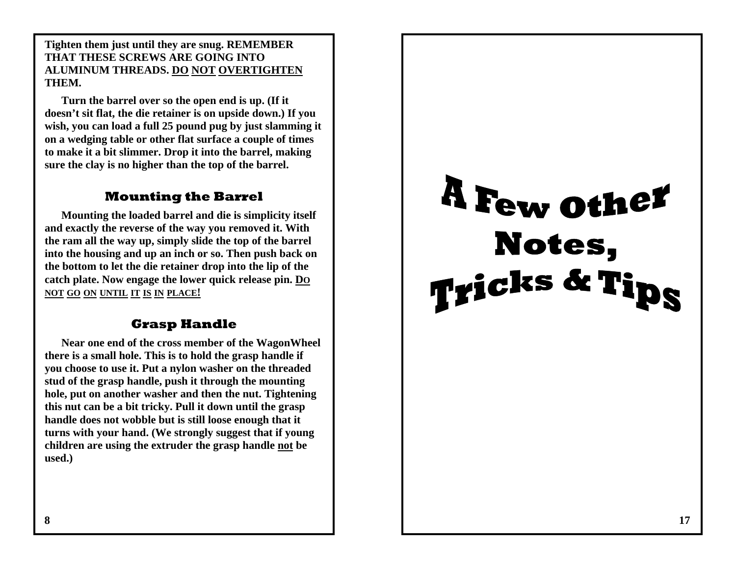**Tighten them just until they are snug. REMEMBER THAT THESE SCREWS ARE GOING INTO ALUMINUM THREADS. DO NOT OVERTIGHTENTHEM.** 

**Turn the barrel over so the open end is up. (If it doesn't sit flat, the die retainer is on upside down.) If you wish, you can load a full 25 pound pug by just slamming it on a wedging table or other flat surface a couple of times to make it a bit slimmer. Drop it into the barrel, making sure the clay is no higher than the top of the barrel.** 

### **Mounting the Barrel**

**Mounting the loaded barrel and die is simplicity itself and exactly the reverse of the way you removed it. With the ram all the way up, simply slide the top of the barrel into the housing and up an inch or so. Then push back on the bottom to let the die retainer drop into the lip of the catch plate. Now engage the lower quick release pin. D O NOT GO ON UNTIL IT IS IN PLACE!**

### **Grasp Handle**

**Near one end of the cross member of the WagonWheel there is a small hole. This is to hold the grasp handle if you choose to use it. Put a nylon washer on the threaded stud of the grasp handle, push it through the mounting hole, put on another washer and then the nut. Tightening this nut can be a bit tricky. Pull it down until the grasp handle does not wobble but is still loose enough that it turns with your hand. (We strongly suggest that if young children are using the extruder the grasp handle not be used.)** 

# A Few other Notes, Tricks & Tips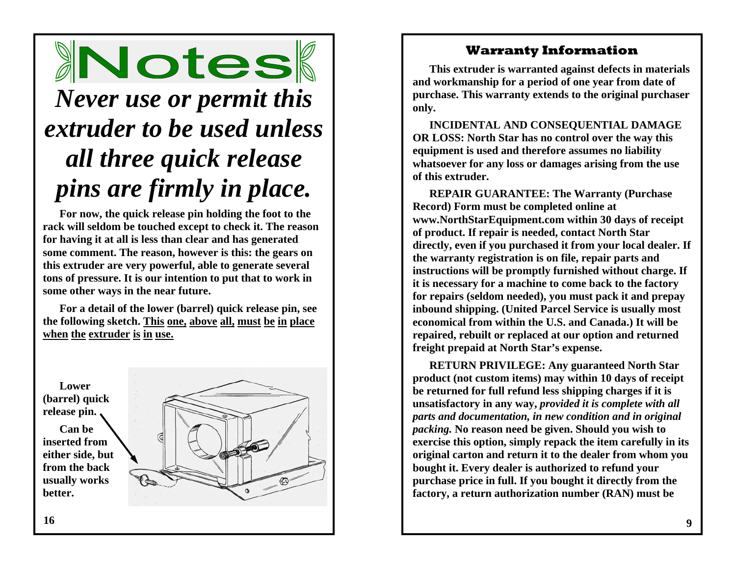## Notes *Never use or permit this*

## *extruder to be used unless all three quick release pins are firmly in place.*

**For now, the quick release pin holding the foot to the rack will seldom be touched except to check it. The reason for having it at all is less than clear and has generated some comment. The reason, however is this: the gears on this extruder are very powerful, able to generate several tons of pressure. It is our intention to put that to work in some other ways in the near future.** 

**For a detail of the lower (barrel) quick release pin, see the following sketch. This one, above all, must be in place when the extruder is in use.**



### **Warranty Information**

**This extruder is warranted against defects in materials and workmanship for a period of one year from date of purchase. This warranty extends to the original purchaser only.** 

**INCIDENTAL AND CONSEQUENTIAL DAMAGE OR LOSS: North Star has no control over the way this equipment is used and therefore assumes no liability whatsoever for any loss or damages arising from the use of this extruder.** 

**REPAIR GUARANTEE: The Warranty (Purchase Record) Form must be completed online at www.NorthStarEquipment.com within 30 days of receipt of product. If repair is needed, contact North Star directly, even if you purchased it from your local dealer. If the warranty registration is on file, repair parts and instructions will be promptly furnished without charge. If it is necessary for a machine to come back to the factory for repairs (seldom needed), you must pack it and prepay inbound shipping. (United Parcel Service is usually most economical from within the U.S. and Canada.) It will be repaired, rebuilt or replaced at our option and returned freight prepaid at North Star's expense.** 

**RETURN PRIVILEGE: Any guaranteed North Star product (not custom items) may within 10 days of receipt be returned for full refund less shipping charges if it is unsatisfactory in any way,** *provided it is complete with all parts and documentation, in new condition and in original packing.* **No reason need be given. Should you wish to exercise this option, simply repack the item carefully in its original carton and return it to the dealer from whom you bought it. Every dealer is authorized to refund your purchase price in full. If you bought it directly from the factory, a return authorization number (RAN) must be**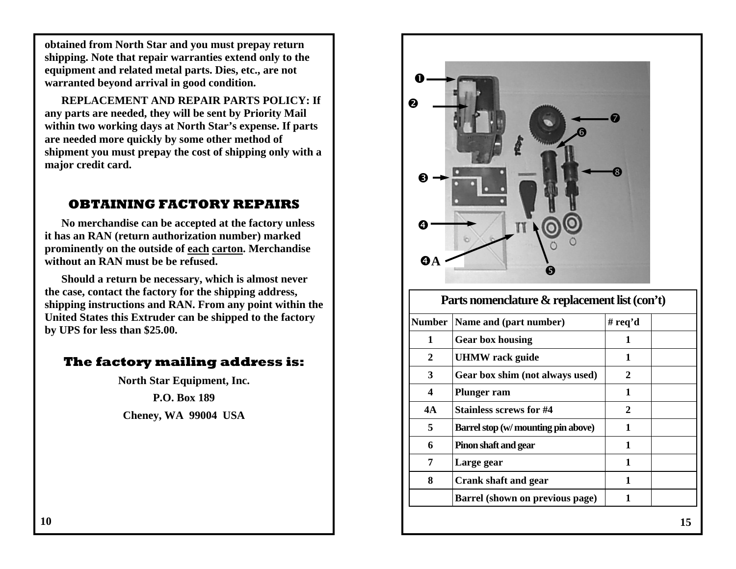**obtained from North Star and you must prepay return shipping. Note that repair warranties extend only to the equipment and related metal parts. Dies, etc., are not warranted beyond arrival in good condition.** 

**REPLACEMENT AND REPAIR PARTS POLICY: If any parts are needed, they will be sent by Priority Mail within two working days at North Star's expense. If parts are needed more quickly by some other method of shipment you must prepay the cost of shipping only with a major credit card.** 

### **OBTAINING FACTORY REPAIRS**

**No merchandise can be accepted at the factory unless it has an RAN (return authorization number) marked prominently on the outside of each carton. Merchandise without an RAN must be be refused.** 

**Should a return be necessary, which is almost never the case, contact the factory for the shipping address, shipping instructions and RAN. From any point within the United States this Extruder can be shipped to the factory by UPS for less than \$25.00.** 

### **The factory mailing address is:**

**North Star Equipment, Inc.** 

**P.O. Box 189** 

**Cheney, WA 99004 USA** 

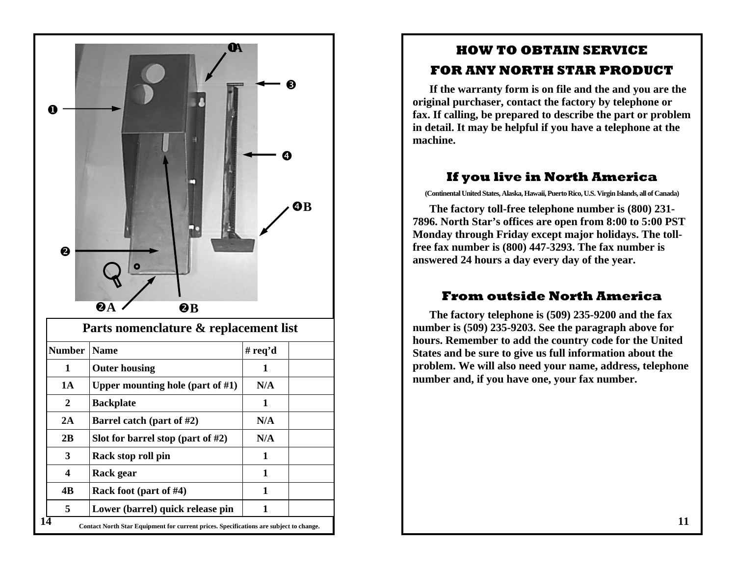

### **HOW TO OBTAIN SERVICE FOR ANY NORTH STAR PRODUCT**

**If the warranty form is on file and the and you are the original purchaser, contact the factory by telephone or fax. If calling, be prepared to describe the part or problem in detail. It may be helpful if you have a telephone at the machine.** 

### **If you live in North America**

**(Continental United States, Alaska, Hawaii, Puerto Rico, U.S. Virgin Islands, all of Canada)** 

**The factory toll-free telephone number is (800) 231- 7896. North Star's offices are open from 8:00 to 5:00 PST Monday through Friday except major holidays. The tollfree fax number is (800) 447-3293. The fax number is answered 24 hours a day every day of the year.** 

### **From outside North America**

**The factory telephone is (509) 235-9200 and the fax number is (509) 235-9203. See the paragraph above for hours. Remember to add the country code for the United States and be sure to give us full information about the problem. We will also need your name, address, telephone number and, if you have one, your fax number.**